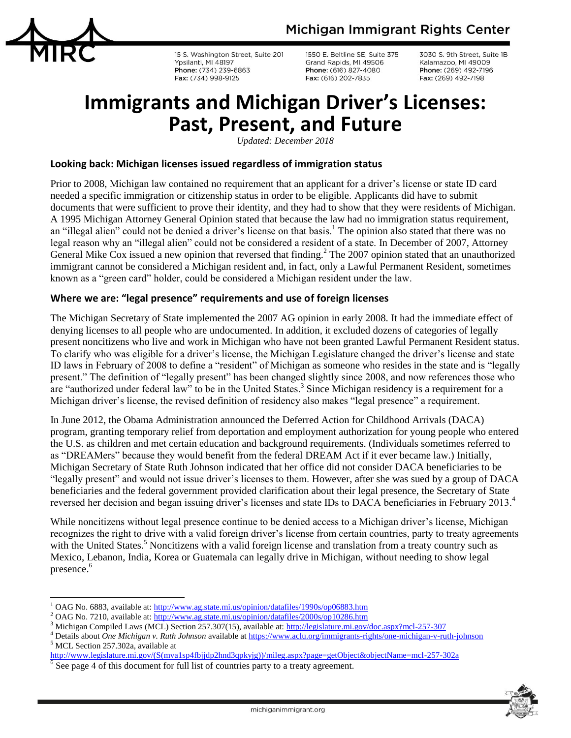

l

15 S. Washington Street, Suite 201 Ypsilanti, MI 48197 Phone: (734) 239-6863 Fax: (734) 998-9125

1550 E. Beltline SE, Suite 375 Grand Rapids, MI 49506 Phone: (616) 827-4080 Fax: (616) 202-7835

3030 S. 9th Street, Suite 1B Kalamazoo, MI 49009 Phone: (269) 492-7196 Fax: (269) 492-7198

# **Immigrants and Michigan Driver's Licenses: Past, Present, and Future**

*Updated: December 2018*

#### **Looking back: Michigan licenses issued regardless of immigration status**

Prior to 2008, Michigan law contained no requirement that an applicant for a driver's license or state ID card needed a specific immigration or citizenship status in order to be eligible. Applicants did have to submit documents that were sufficient to prove their identity, and they had to show that they were residents of Michigan. A 1995 Michigan Attorney General Opinion stated that because the law had no immigration status requirement, an "illegal alien" could not be denied a driver's license on that basis.<sup>1</sup> The opinion also stated that there was no legal reason why an "illegal alien" could not be considered a resident of a state. In December of 2007, Attorney General Mike Cox issued a new opinion that reversed that finding.<sup>2</sup> The 2007 opinion stated that an unauthorized immigrant cannot be considered a Michigan resident and, in fact, only a Lawful Permanent Resident, sometimes known as a "green card" holder, could be considered a Michigan resident under the law.

#### **Where we are: "legal presence" requirements and use of foreign licenses**

The Michigan Secretary of State implemented the 2007 AG opinion in early 2008. It had the immediate effect of denying licenses to all people who are undocumented. In addition, it excluded dozens of categories of legally present noncitizens who live and work in Michigan who have not been granted Lawful Permanent Resident status. To clarify who was eligible for a driver's license, the Michigan Legislature changed the driver's license and state ID laws in February of 2008 to define a "resident" of Michigan as someone who resides in the state and is "legally present." The definition of "legally present" has been changed slightly since 2008, and now references those who are "authorized under federal law" to be in the United States.<sup>3</sup> Since Michigan residency is a requirement for a Michigan driver's license, the revised definition of residency also makes "legal presence" a requirement.

In June 2012, the Obama Administration announced the Deferred Action for Childhood Arrivals (DACA) program, granting temporary relief from deportation and employment authorization for young people who entered the U.S. as children and met certain education and background requirements. (Individuals sometimes referred to as "DREAMers" because they would benefit from the federal DREAM Act if it ever became law.) Initially, Michigan Secretary of State Ruth Johnson indicated that her office did not consider DACA beneficiaries to be "legally present" and would not issue driver's licenses to them. However, after she was sued by a group of DACA beneficiaries and the federal government provided clarification about their legal presence, the Secretary of State reversed her decision and began issuing driver's licenses and state IDs to DACA beneficiaries in February 2013.<sup>4</sup>

While noncitizens without legal presence continue to be denied access to a Michigan driver's license, Michigan recognizes the right to drive with a valid foreign driver's license from certain countries, party to treaty agreements with the United States.<sup>5</sup> Noncitizens with a valid foreign license and translation from a treaty country such as Mexico, Lebanon, India, Korea or Guatemala can legally drive in Michigan, without needing to show legal presence. 6



<sup>1</sup> OAG No. 6883, available at: <http://www.ag.state.mi.us/opinion/datafiles/1990s/op06883.htm>

<sup>2</sup> OAG No. 7210, available at:<http://www.ag.state.mi.us/opinion/datafiles/2000s/op10286.htm>

<sup>3</sup> Michigan Compiled Laws (MCL) Section 257.307(15), available at:<http://legislature.mi.gov/doc.aspx?mcl-257-307>

<sup>4</sup> Details about *One Michigan v. Ruth Johnson* available at <https://www.aclu.org/immigrants-rights/one-michigan-v-ruth-johnson> <sup>5</sup> MCL Section 257.302a, available at

[http://www.legislature.mi.gov/\(S\(mva1sp4fbjjdp2hnd3qpkyjg\)\)/mileg.aspx?page=getObject&objectName=mcl-257-302a](http://www.legislature.mi.gov/(S(mva1sp4fbjjdp2hnd3qpkyjg))/mileg.aspx?page=getObject&objectName=mcl-257-302a)

<sup>6</sup> See page 4 of this document for full list of countries party to a treaty agreement.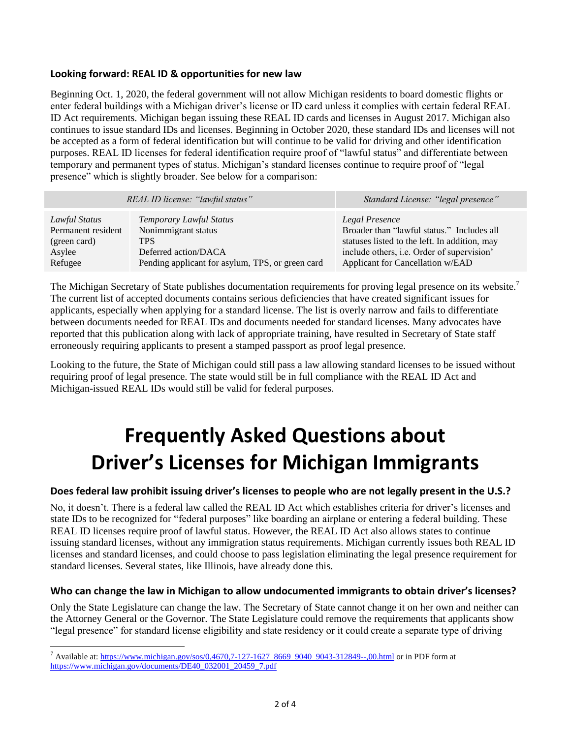#### **Looking forward: REAL ID & opportunities for new law**

Beginning Oct. 1, 2020, the federal government will not allow Michigan residents to board domestic flights or enter federal buildings with a Michigan driver's license or ID card unless it complies with certain federal REAL ID Act requirements. Michigan began issuing these REAL ID cards and licenses in August 2017. Michigan also continues to issue standard IDs and licenses. Beginning in October 2020, these standard IDs and licenses will not be accepted as a form of federal identification but will continue to be valid for driving and other identification purposes. REAL ID licenses for federal identification require proof of "lawful status" and differentiate between temporary and permanent types of status. Michigan's standard licenses continue to require proof of "legal presence" which is slightly broader. See below for a comparison:

| REAL ID license: "lawful status" |                                                  | Standard License: "legal presence"            |
|----------------------------------|--------------------------------------------------|-----------------------------------------------|
| Lawful Status                    | Temporary Lawful Status                          | Legal Presence                                |
| Permanent resident               | Nonimmigrant status                              | Broader than "lawful status." Includes all    |
| (green card)                     | <b>TPS</b>                                       | statuses listed to the left. In addition, may |
| Asylee                           | Deferred action/DACA                             | include others, i.e. Order of supervision'    |
| Refugee                          | Pending applicant for asylum, TPS, or green card | Applicant for Cancellation w/EAD              |

The Michigan Secretary of State publishes documentation requirements for proving legal presence on its website.<sup>7</sup> The current list of accepted documents contains serious deficiencies that have created significant issues for applicants, especially when applying for a standard license. The list is overly narrow and fails to differentiate between documents needed for REAL IDs and documents needed for standard licenses. Many advocates have reported that this publication along with lack of appropriate training, have resulted in Secretary of State staff erroneously requiring applicants to present a stamped passport as proof legal presence.

Looking to the future, the State of Michigan could still pass a law allowing standard licenses to be issued without requiring proof of legal presence. The state would still be in full compliance with the REAL ID Act and Michigan-issued REAL IDs would still be valid for federal purposes.

# **Frequently Asked Questions about Driver's Licenses for Michigan Immigrants**

#### **Does federal law prohibit issuing driver's licenses to people who are not legally present in the U.S.?**

No, it doesn't. There is a federal law called the REAL ID Act which establishes criteria for driver's licenses and state IDs to be recognized for "federal purposes" like boarding an airplane or entering a federal building. These REAL ID licenses require proof of lawful status. However, the REAL ID Act also allows states to continue issuing standard licenses, without any immigration status requirements. Michigan currently issues both REAL ID licenses and standard licenses, and could choose to pass legislation eliminating the legal presence requirement for standard licenses. Several states, like Illinois, have already done this.

#### **Who can change the law in Michigan to allow undocumented immigrants to obtain driver's licenses?**

Only the State Legislature can change the law. The Secretary of State cannot change it on her own and neither can the Attorney General or the Governor. The State Legislature could remove the requirements that applicants show "legal presence" for standard license eligibility and state residency or it could create a separate type of driving

l

<sup>&</sup>lt;sup>7</sup> Available at[: https://www.michigan.gov/sos/0,4670,7-127-1627\\_8669\\_9040\\_9043-312849--,00.html](https://www.michigan.gov/sos/0,4670,7-127-1627_8669_9040_9043-312849--,00.html) or in PDF form at [https://www.michigan.gov/documents/DE40\\_032001\\_20459\\_7.pdf](https://www.michigan.gov/documents/DE40_032001_20459_7.pdf)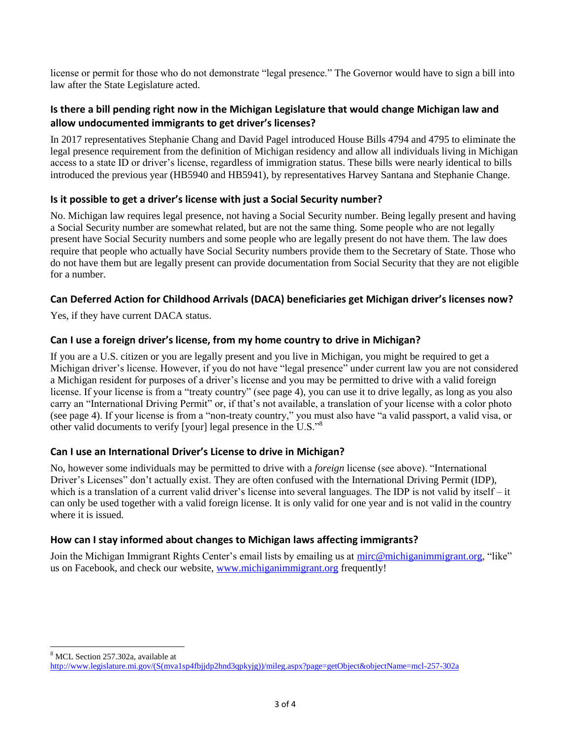license or permit for those who do not demonstrate "legal presence." The Governor would have to sign a bill into law after the State Legislature acted.

#### **Is there a bill pending right now in the Michigan Legislature that would change Michigan law and allow undocumented immigrants to get driver's licenses?**

In 2017 representatives Stephanie Chang and David Pagel introduced House Bills 4794 and 4795 to eliminate the legal presence requirement from the definition of Michigan residency and allow all individuals living in Michigan access to a state ID or driver's license, regardless of immigration status. These bills were nearly identical to bills introduced the previous year (HB5940 and HB5941), by representatives Harvey Santana and Stephanie Change.

#### **Is it possible to get a driver's license with just a Social Security number?**

No. Michigan law requires legal presence, not having a Social Security number. Being legally present and having a Social Security number are somewhat related, but are not the same thing. Some people who are not legally present have Social Security numbers and some people who are legally present do not have them. The law does require that people who actually have Social Security numbers provide them to the Secretary of State. Those who do not have them but are legally present can provide documentation from Social Security that they are not eligible for a number.

#### **Can Deferred Action for Childhood Arrivals (DACA) beneficiaries get Michigan driver's licenses now?**

Yes, if they have current DACA status.

#### **Can I use a foreign driver's license, from my home country to drive in Michigan?**

If you are a U.S. citizen or you are legally present and you live in Michigan, you might be required to get a Michigan driver's license. However, if you do not have "legal presence" under current law you are not considered a Michigan resident for purposes of a driver's license and you may be permitted to drive with a valid foreign license. If your license is from a "treaty country" (see page 4), you can use it to drive legally, as long as you also carry an "International Driving Permit" or, if that's not available, a translation of your license with a color photo (see page 4). If your license is from a "non-treaty country," you must also have "a valid passport, a valid visa, or other valid documents to verify [your] legal presence in the U.S."<sup>8</sup>

#### **Can I use an International Driver's License to drive in Michigan?**

No, however some individuals may be permitted to drive with a *foreign* license (see above). "International Driver's Licenses" don't actually exist. They are often confused with the International Driving Permit (IDP), which is a translation of a current valid driver's license into several languages. The IDP is not valid by itself – it can only be used together with a valid foreign license. It is only valid for one year and is not valid in the country where it is issued.

#### **How can I stay informed about changes to Michigan laws affecting immigrants?**

Join the Michigan Immigrant Rights Center's email lists by emailing us at [mirc@michiganimmigrant.org,](mailto:mirc@michiganimmigrant.org) "like" us on Facebook, and check our website, [www.michiganimmigrant.org](http://www.michiganimmigrant.org/) frequently!

l <sup>8</sup> MCL Section 257.302a, available at

[http://www.legislature.mi.gov/\(S\(mva1sp4fbjjdp2hnd3qpkyjg\)\)/mileg.aspx?page=getObject&objectName=mcl-257-302a](http://www.legislature.mi.gov/(S(mva1sp4fbjjdp2hnd3qpkyjg))/mileg.aspx?page=getObject&objectName=mcl-257-302a)